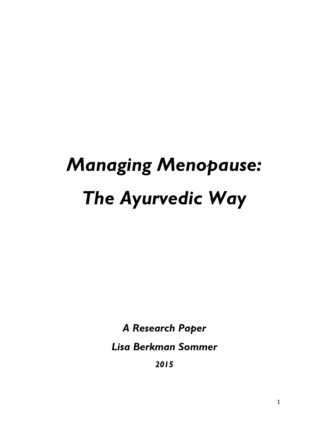# *Managing Menopause: The Ayurvedic Way*

*A Research Paper*

*Lisa Berkman Sommer*

*2015*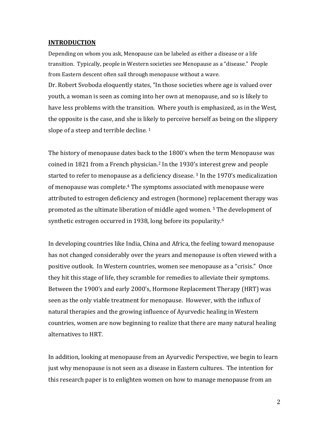# **INTRODUCTION**

Depending on whom you ask, Menopause can be labeled as either a disease or a life transition. Typically, people in Western societies see Menopause as a "disease." People from Eastern descent often sail through menopause without a wave. Dr. Robert Svoboda eloquently states, "In those societies where age is valued over youth, a woman is seen as coming into her own at menopause, and so is likely to

have less problems with the transition. Where youth is emphasized, as in the West, the opposite is the case, and she is likely to perceive herself as being on the slippery slope of a steep and terrible decline.<sup>1</sup>

The history of menopause dates back to the 1800's when the term Menopause was coined in 1821 from a French physician.2 In the 1930's interest grew and people started to refer to menopause as a deficiency disease.<sup>3</sup> In the 1970's medicalization of menopause was complete.4 The symptoms associated with menopause were attributed to estrogen deficiency and estrogen (hormone) replacement therapy was promoted as the ultimate liberation of middle aged women. 5 The development of synthetic estrogen occurred in 1938, long before its popularity.<sup>6</sup>

In developing countries like India, China and Africa, the feeling toward menopause has not changed considerably over the years and menopause is often viewed with a positive outlook. In Western countries, women see menopause as a "crisis." Once they hit this stage of life, they scramble for remedies to alleviate their symptoms. Between the 1900's and early 2000's, Hormone Replacement Therapy (HRT) was seen as the only viable treatment for menopause. However, with the influx of natural therapies and the growing influence of Ayurvedic healing in Western countries, women are now beginning to realize that there are many natural healing alternatives to HRT.

In addition, looking at menopause from an Ayurvedic Perspective, we begin to learn just why menopause is not seen as a disease in Eastern cultures. The intention for this research paper is to enlighten women on how to manage menopause from an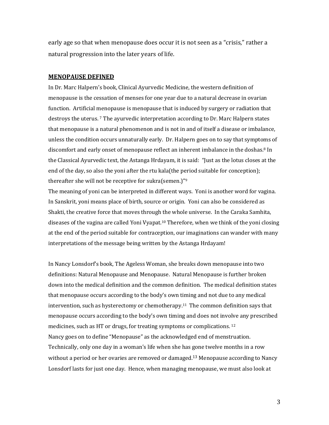early age so that when menopause does occur it is not seen as a "crisis," rather a natural progression into the later years of life.

### **MENOPAUSE DEFINED**

In Dr. Marc Halpern's book, Clinical Ayurvedic Medicine, the western definition of menopause is the cessation of menses for one year due to a natural decrease in ovarian function. Artificial menopause is menopause that is induced by surgery or radiation that destroys the uterus. 7 The ayurvedic interpretation according to Dr. Marc Halpern states that menopause is a natural phenomenon and is not in and of itself a disease or imbalance, unless the condition occurs unnaturally early. Dr. Halpern goes on to say that symptoms of discomfort and early onset of menopause reflect an inherent imbalance in the doshas.<sup>8</sup> In the Classical Ayurvedic text, the Astanga Hrdayam, it is said: "Just as the lotus closes at the end of the day, so also the yoni after the rtu kala(the period suitable for conception); thereafter she will not be receptive for sukra(semen.)"9

The meaning of yoni can be interpreted in different ways. Yoni is another word for vagina. In Sanskrit, yoni means place of birth, source or origin. Yoni can also be considered as Shakti, the creative force that moves through the whole universe. In the Caraka Samhita, diseases of the vagina are called Yoni Vyapat.10 Therefore, when we think of the yoni closing at the end of the period suitable for contraception, our imaginations can wander with many interpretations of the message being written by the Astanga Hrdayam!

In Nancy Lonsdorf's book, The Ageless Woman, she breaks down menopause into two definitions: Natural Menopause and Menopause. Natural Menopause is further broken down into the medical definition and the common definition. The medical definition states that menopause occurs according to the body's own timing and not due to any medical intervention, such as hysterectomy or chemotherapy.11 The common definition says that menopause occurs according to the body's own timing and does not involve any prescribed medicines, such as HT or drugs, for treating symptoms or complications. 12 Nancy goes on to define "Menopause" as the acknowledged end of menstruation. Technically, only one day in a woman's life when she has gone twelve months in a row without a period or her ovaries are removed or damaged.<sup>13</sup> Menopause according to Nancy Lonsdorf lasts for just one day. Hence, when managing menopause, we must also look at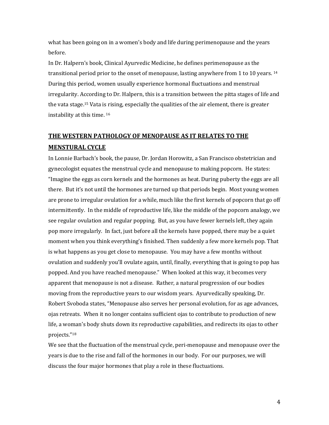what has been going on in a women's body and life during perimenopause and the years before.

In Dr. Halpern's book, Clinical Ayurvedic Medicine, he defines perimenopause as the transitional period prior to the onset of menopause, lasting anywhere from 1 to 10 years. <sup>14</sup> During this period, women usually experience hormonal fluctuations and menstrual irregularity. According to Dr. Halpern, this is a transition between the pitta stages of life and the vata stage.15 Vata is rising, especially the qualities of the air element, there is greater instability at this time. 16

# **THE WESTERN PATHOLOGY OF MENOPAUSE AS IT RELATES TO THE MENSTURAL CYCLE**

In Lonnie Barbach's book, the pause, Dr. Jordan Horowitz, a San Francisco obstetrician and gynecologist equates the menstrual cycle and menopause to making popcorn. He states: "Imagine the eggs as corn kernels and the hormones as heat. During puberty the eggs are all there. But it's not until the hormones are turned up that periods begin. Most young women are prone to irregular ovulation for a while, much like the first kernels of popcorn that go off intermittently. In the middle of reproductive life, like the middle of the popcorn analogy, we see regular ovulation and regular popping. But, as you have fewer kernels left, they again pop more irregularly. In fact, just before all the kernels have popped, there may be a quiet moment when you think everything's finished. Then suddenly a few more kernels pop. That is what happens as you get close to menopause. You may have a few months without ovulation and suddenly you'll ovulate again, until, finally, everything that is going to pop has popped. And you have reached menopause." When looked at this way, it becomes very apparent that menopause is not a disease. Rather, a natural progression of our bodies moving from the reproductive years to our wisdom years. Ayurvedically speaking, Dr. Robert Svoboda states, "Menopause also serves her personal evolution, for as age advances, ojas retreats. When it no longer contains sufficient ojas to contribute to production of new life, a woman's body shuts down its reproductive capabilities, and redirects its ojas to other projects."18

We see that the fluctuation of the menstrual cycle, peri-menopause and menopause over the years is due to the rise and fall of the hormones in our body. For our purposes, we will discuss the four major hormones that play a role in these fluctuations.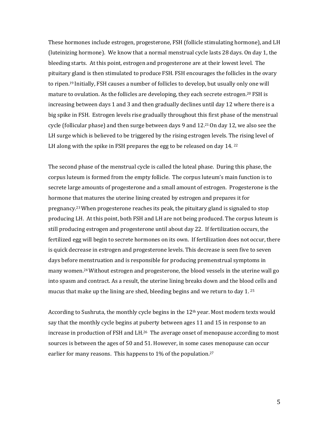These hormones include estrogen, progesterone, FSH (follicle stimulating hormone), and LH (luteinizing hormone). We know that a normal menstrual cycle lasts 28 days. On day 1, the bleeding starts. At this point, estrogen and progesterone are at their lowest level. The pituitary gland is then stimulated to produce FSH. FSH encourages the follicles in the ovary to ripen.19 Initially, FSH causes a number of follicles to develop, but usually only one will mature to ovulation. As the follicles are developing, they each secrete estrogen.<sup>20</sup> FSH is increasing between days 1 and 3 and then gradually declines until day 12 where there is a big spike in FSH. Estrogen levels rise gradually throughout this first phase of the menstrual cycle (follicular phase) and then surge between days 9 and 12.21 On day 12, we also see the LH surge which is believed to be triggered by the rising estrogen levels. The rising level of LH along with the spike in FSH prepares the egg to be released on day 14.22

The second phase of the menstrual cycle is called the luteal phase. During this phase, the corpus luteum is formed from the empty follicle. The corpus luteum's main function is to secrete large amounts of progesterone and a small amount of estrogen. Progesterone is the hormone that matures the uterine lining created by estrogen and prepares it for pregnancy.23When progesterone reaches its peak, the pituitary gland is signaled to stop producing LH. At this point, both FSH and LH are not being produced. The corpus luteum is still producing estrogen and progesterone until about day 22. If fertilization occurs, the fertilized egg will begin to secrete hormones on its own. If fertilization does not occur, there is quick decrease in estrogen and progesterone levels. This decrease is seen five to seven days before menstruation and is responsible for producing premenstrual symptoms in many women.24Without estrogen and progesterone, the blood vessels in the uterine wall go into spasm and contract. As a result, the uterine lining breaks down and the blood cells and mucus that make up the lining are shed, bleeding begins and we return to day 1. <sup>25</sup>

According to Sushruta, the monthly cycle begins in the 12<sup>th</sup> year. Most modern texts would say that the monthly cycle begins at puberty between ages 11 and 15 in response to an increase in production of FSH and LH.<sup>26</sup> The average onset of menopause according to most sources is between the ages of 50 and 51. However, in some cases menopause can occur earlier for many reasons. This happens to 1% of the population.<sup>27</sup>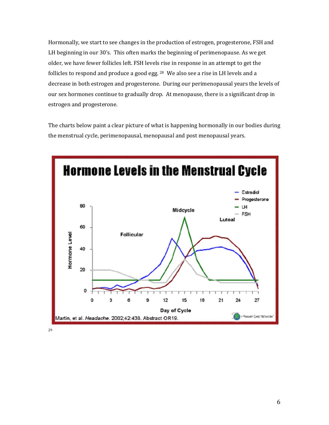Hormonally, we start to see changes in the production of estrogen, progesterone, FSH and LH beginning in our 30's. This often marks the beginning of perimenopause. As we get older, we have fewer follicles left. FSH levels rise in response in an attempt to get the follicles to respond and produce a good egg. <sup>28</sup> We also see a rise in LH levels and a decrease in both estrogen and progesterone. During our perimenopausal years the levels of our sex hormones continue to gradually drop. At menopause, there is a significant drop in estrogen and progesterone.

The charts below paint a clear picture of what is happening hormonally in our bodies during the menstrual cycle, perimenopausal, menopausal and post menopausal years.



29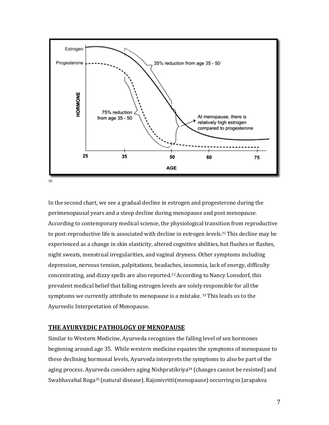

In the second chart, we see a gradual decline in estrogen and progesterone during the perimenopausal years and a steep decline during menopause and post menopause. According to contemporary medical science, the physiological transition from reproductive to post-reproductive life is associated with decline in estrogen levels.<sup>31</sup> This decline may be experienced as a change in skin elasticity, altered cognitive abilities, hot flushes or flashes, night sweats, menstrual irregularities, and vaginal dryness. Other symptoms including depression, nervous tension, palpitations, headaches, insomnia, lack of energy, difficulty concentrating, and dizzy spells are also reported.32According to Nancy Lonsdorf, this prevalent medical belief that falling estrogen levels are solely responsible for all the symptoms we currently attribute to menopause is a mistake. 33 This leads us to the Ayurvedic Interpretation of Menopause.

# **THE AYURVEDIC PATHOLOGY OF MENOPAUSE**

Similar to Western Medicine, Ayurveda recognizes the falling level of sex hormones beginning around age 35. While western medicine equates the symptoms of menopause to these declining hormonal levels, Ayurveda interprets the symptoms to also be part of the aging process. Ayurveda considers aging Nishpratikriya34 (changes cannot be resisted) and Swabhavabal Roga35 (natural disease). Rajonivritti(menopause) occurring in Jarapakva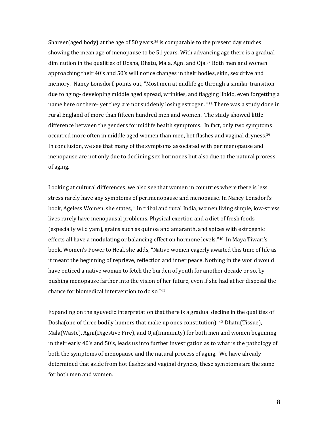Shareer(aged body) at the age of 50 years.<sup>36</sup> is comparable to the present day studies showing the mean age of menopause to be 51 years. With advancing age there is a gradual diminution in the qualities of Dosha, Dhatu, Mala, Agni and Oja.37 Both men and women approaching their 40's and 50's will notice changes in their bodies, skin, sex drive and memory. Nancy Lonsdorf, points out, "Most men at midlife go through a similar transition due to aging- developing middle aged spread, wrinkles, and flagging libido, even forgetting a name here or there- yet they are not suddenly losing estrogen. "<sup>38</sup> There was a study done in rural England of more than fifteen hundred men and women. The study showed little difference between the genders for midlife health symptoms. In fact, only two symptoms occurred more often in middle aged women than men, hot flashes and vaginal dryness.<sup>39</sup> In conclusion, we see that many of the symptoms associated with perimenopause and menopause are not only due to declining sex hormones but also due to the natural process of aging.

Looking at cultural differences, we also see that women in countries where there is less stress rarely have any symptoms of perimenopause and menopause. In Nancy Lonsdorf's book, Ageless Women, she states, " In tribal and rural India, women living simple, low-stress lives rarely have menopausal problems. Physical exertion and a diet of fresh foods (especially wild yam), grains such as quinoa and amaranth, and spices with estrogenic effects all have a modulating or balancing effect on hormone levels."40 In Maya Tiwari's book, Women's Power to Heal, she adds, "Native women eagerly awaited this time of life as it meant the beginning of reprieve, reflection and inner peace. Nothing in the world would have enticed a native woman to fetch the burden of youth for another decade or so, by pushing menopause farther into the vision of her future, even if she had at her disposal the chance for biomedical intervention to do so."41

Expanding on the ayuvedic interpretation that there is a gradual decline in the qualities of Dosha(one of three bodily humors that make up ones constitution), 42 Dhatu(Tissue), Mala(Waste), Agni(Digestive Fire), and Oja(Immunity) for both men and women beginning in their early 40's and 50's, leads us into further investigation as to what is the pathology of both the symptoms of menopause and the natural process of aging. We have already determined that aside from hot flashes and vaginal dryness, these symptoms are the same for both men and women.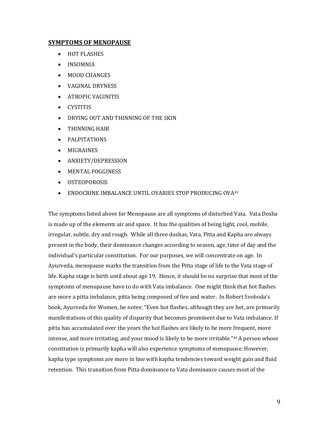# **SYMPTOMS OF MENOPAUSE**

- HOT FLASHES
- INSOMNIA
- MOOD CHANGES
- VAGINAL DRYNESS
- ATROPIC VAGINITIS
- CYSTITIS
- DRYING OUT AND THINNING OF THE SKIN
- THINNING HAIR
- PALPITATIONS
- MIGRAINES
- ANXIETY/DEPRESSION
- MENTAL FOGGINESS
- OSTEOPOROSIS
- ENDOCRINE IMBALANCE UNTIL OVARIES STOP PRODUCING OVA<sup>43</sup>

The symptoms listed above for Menopause are all symptoms of disturbed Vata. Vata Dosha is made up of the elements air and space. It has the qualities of being light, cool, mobile, irregular, subtle, dry and rough. While all three doshas, Vata, Pitta and Kapha are always present in the body, their dominance changes according to season, age, time of day and the individual's particular constitution. For our purposes, we will concentrate on age. In Ayurveda, menopause marks the transition from the Pitta stage of life to the Vata stage of life. Kapha stage is birth until about age 19. Hence, it should be no surprise that most of the symptoms of menopause have to do with Vata imbalance. One might think that hot flashes are more a pitta imbalance, pitta being composed of fire and water. In Robert Svoboda's book, Ayurveda for Women, he notes: "Even hot flashes, although they are hot, are primarily manifestations of this quality of disparity that becomes prominent due to Vata imbalance. If pitta has accumulated over the years the hot flashes are likely to be more frequent, more intense, and more irritating, and your mood is likely to be more irritable."44 A person whose constitution is primarily kapha will also experience symptoms of menopause. However, kapha type symptoms are more in line with kapha tendencies toward weight gain and fluid retention. This transition from Pitta dominance to Vata dominance causes most of the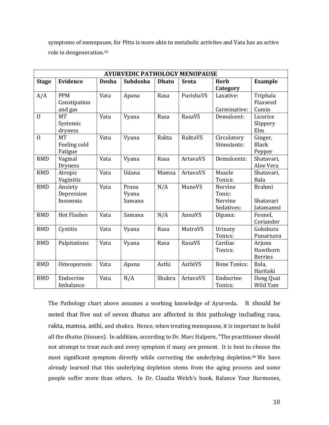symptoms of menopause, for Pitta is more akin to metabolic activites and Vata has an active role in dengeneration.45

| <b>AYURVEDIC PATHOLOGY MENOPAUSE</b> |                                       |              |                          |              |              |                                            |                                         |
|--------------------------------------|---------------------------------------|--------------|--------------------------|--------------|--------------|--------------------------------------------|-----------------------------------------|
| <b>Stage</b>                         | <b>Evidence</b>                       | <b>Dosha</b> | Subdosha                 | <b>Dhatu</b> | <b>Srota</b> | <b>Herb</b><br>Category                    | <b>Example</b>                          |
| A/A                                  | <b>PPM</b><br>Constipation<br>and gas | Vata         | Apana                    | Rasa         | PurishaVS    | Laxative:<br>Carminative:                  | Triphala<br>Flaxseed<br>Cumin           |
| $\Omega$                             | <b>MT</b><br>Systemic<br>dryness      | Vata         | Vyana                    | Rasa         | RasaVS       | Demulcent:                                 | Licorice<br>Slippery<br>Elm             |
| $\mathbf{O}$                         | <b>MT</b><br>Feeling cold<br>Fatigue  | Vata         | Vyana                    | Rakta        | RaktaVS      | Circulatory<br>Stimulants:                 | Ginger,<br><b>Black</b><br>Pepper       |
| <b>RMD</b>                           | Vaginal<br><b>Dryness</b>             | Vata         | Vyana                    | Rasa         | ArtavaVS     | Demulcents:                                | Shatavari,<br>Aloe Vera                 |
| <b>RMD</b>                           | Atropic<br>Vaginitis                  | Vata         | Udana                    | Mamsa        | ArtavaVS     | Muscle<br>Tonics:                          | Shatavari,<br>Bala                      |
| <b>RMD</b>                           | Anxiety<br>Depression<br>Insomnia     | Vata         | Prana<br>Vyana<br>Samana | N/A          | ManoVS       | Nervine<br>Tonic:<br>Nervine<br>Sedatives: | <b>Brahmi</b><br>Shatavari<br>Jatamamsi |
| <b>RMD</b>                           | <b>Hot Flashes</b>                    | Vata         | Samana                   | N/A          | AnnaVS       | Dipana:                                    | Fennel,<br>Coriander                    |
| <b>RMD</b>                           | Cystitis                              | Vata         | Vyana                    | Rasa         | MutraVS      | Urinary<br>Tonics:                         | Gokshura<br>Punarnava                   |
| <b>RMD</b>                           | Palpitations                          | Vata         | Vyana                    | Rasa         | RasaVS       | Cardiac<br>Tonics:                         | Arjuna<br>Hawthorn<br><b>Berries</b>    |
| <b>RMD</b>                           | Osteoporosis                          | Vata         | Apana                    | Asthi        | AsthiVS      | <b>Bone Tonics:</b>                        | Bala,<br>Haritaki                       |
| <b>RMD</b>                           | Endocrine<br>Imbalance                | Vata         | N/A                      | Shukra       | ArtavaVS     | Endocrine<br>Tonics:                       | Dong Quai<br>Wild Yam                   |

The Pathology chart above assumes a working knowledge of Ayurveda. It should be noted that five out of seven dhatus are affected in this pathology including rasa, rakta, mamsa, asthi, and shukra. Hence, when treating menopause, it is important to build all the dhatus (tissues). In addition, according to Dr. Marc Halpern, "The practitioner should not attempt to treat each and every symptom if many are present. It is best to choose the most significant symptom directly while correcting the underlying depletion.46 We have already learned that this underlying depletion stems from the aging process and some people suffer more than others. In Dr. Claudia Welch's book, Balance Your Hormones,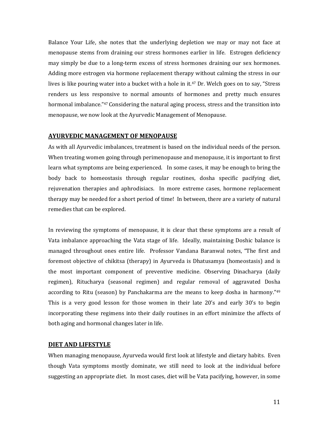Balance Your Life, she notes that the underlying depletion we may or may not face at menopause stems from draining our stress hormones earlier in life. Estrogen deficiency may simply be due to a long-term excess of stress hormones draining our sex hormones. Adding more estrogen via hormone replacement therapy without calming the stress in our lives is like pouring water into a bucket with a hole in it.47 Dr. Welch goes on to say, "Stress renders us less responsive to normal amounts of hormones and pretty much ensures hormonal imbalance."<sup>47</sup> Considering the natural aging process, stress and the transition into menopause, we now look at the Ayurvedic Management of Menopause.

### **AYURVEDIC MANAGEMENT OF MENOPAUSE**

As with all Ayurvedic imbalances, treatment is based on the individual needs of the person. When treating women going through perimenopause and menopause, it is important to first learn what symptoms are being experienced. In some cases, it may be enough to bring the body back to homeostasis through regular routines, dosha specific pacifying diet, rejuvenation therapies and aphrodisiacs. In more extreme cases, hormone replacement therapy may be needed for a short period of time! In between, there are a variety of natural remedies that can be explored.

In reviewing the symptoms of menopause, it is clear that these symptoms are a result of Vata imbalance approaching the Vata stage of life. Ideally, maintaining Doshic balance is managed throughout ones entire life. Professor Vandana Baranwal notes, "The first and foremost objective of chikitsa (therapy) in Ayurveda is Dhatusamya (homeostasis) and is the most important component of preventive medicine. Observing Dinacharya (daily regimen), Ritucharya (seasonal regimen) and regular removal of aggravated Dosha according to Ritu (season) by Panchakarma are the means to keep dosha in harmony."49 This is a very good lesson for those women in their late 20's and early 30's to begin incorporating these regimens into their daily routines in an effort minimize the affects of both aging and hormonal changes later in life.

# **DIET AND LIFESTYLE**

When managing menopause, Ayurveda would first look at lifestyle and dietary habits. Even though Vata symptoms mostly dominate, we still need to look at the individual before suggesting an appropriate diet. In most cases, diet will be Vata pacifying, however, in some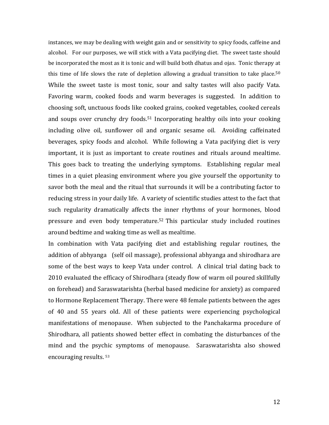instances, we may be dealing with weight gain and or sensitivity to spicy foods, caffeine and alcohol. For our purposes, we will stick with a Vata pacifying diet. The sweet taste should be incorporated the most as it is tonic and will build both dhatus and ojas. Tonic therapy at this time of life slows the rate of depletion allowing a gradual transition to take place.<sup>50</sup> While the sweet taste is most tonic, sour and salty tastes will also pacify Vata. Favoring warm, cooked foods and warm beverages is suggested. In addition to choosing soft, unctuous foods like cooked grains, cooked vegetables, cooked cereals and soups over crunchy dry foods. <sup>51</sup> Incorporating healthy oils into your cooking including olive oil, sunflower oil and organic sesame oil. Avoiding caffeinated beverages, spicy foods and alcohol. While following a Vata pacifying diet is very important, it is just as important to create routines and rituals around mealtime. This goes back to treating the underlying symptoms. Establishing regular meal times in a quiet pleasing environment where you give yourself the opportunity to savor both the meal and the ritual that surrounds it will be a contributing factor to reducing stress in your daily life. A variety of scientific studies attest to the fact that such regularity dramatically affects the inner rhythms of your hormones, blood pressure and even body temperature.52 This particular study included routines around bedtime and waking time as well as mealtime.

In combination with Vata pacifying diet and establishing regular routines, the addition of abhyanga (self oil massage), professional abhyanga and shirodhara are some of the best ways to keep Vata under control. A clinical trial dating back to 2010 evaluated the efficacy of Shirodhara (steady flow of warm oil poured skillfully on forehead) and Saraswatarishta (herbal based medicine for anxiety) as compared to Hormone Replacement Therapy. There were 48 female patients between the ages of 40 and 55 years old. All of these patients were experiencing psychological manifestations of menopause. When subjected to the Panchakarma procedure of Shirodhara, all patients showed better effect in combating the disturbances of the mind and the psychic symptoms of menopause. Saraswatarishta also showed encouraging results. 53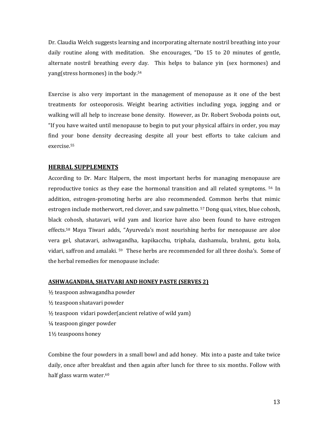Dr. Claudia Welch suggests learning and incorporating alternate nostril breathing into your daily routine along with meditation. She encourages, "Do 15 to 20 minutes of gentle, alternate nostril breathing every day. This helps to balance yin (sex hormones) and yang(stress hormones) in the body.54

Exercise is also very important in the management of menopause as it one of the best treatments for osteoporosis. Weight bearing activities including yoga, jogging and or walking will all help to increase bone density. However, as Dr. Robert Svoboda points out, "If you have waited until menopause to begin to put your physical affairs in order, you may find your bone density decreasing despite all your best efforts to take calcium and exercise.55

### **HERBAL SUPPLEMENTS**

According to Dr. Marc Halpern, the most important herbs for managing menopause are reproductive tonics as they ease the hormonal transition and all related symptoms. 56 In addition, estrogen-promoting herbs are also recommended. Common herbs that mimic estrogen include motherwort, red clover, and saw palmetto. 57 Dong quai, vitex, blue cohosh, black cohosh, shatavari, wild yam and licorice have also been found to have estrogen effects.58 Maya Tiwari adds, "Ayurveda's most nourishing herbs for menopause are aloe vera gel, shatavari, ashwagandha, kapikacchu, triphala, dashamula, brahmi, gotu kola, vidari, saffron and amalaki. <sup>59</sup> These herbs are recommended for all three dosha's. Some of the herbal remedies for menopause include:

### **ASHWAGANDHA, SHATVARI AND HONEY PASTE (SERVES 2)**

- ½ teaspoon ashwagandha powder
- ½ teaspoon shatavari powder
- ½ teaspoon vidari powder(ancient relative of wild yam)
- ¼ teaspoon ginger powder
- 1½ teaspoons honey

Combine the four powders in a small bowl and add honey. Mix into a paste and take twice daily, once after breakfast and then again after lunch for three to six months. Follow with half glass warm water.<sup>60</sup>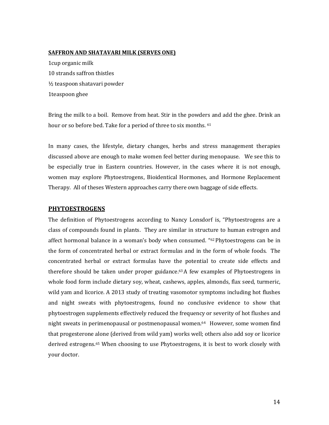# **SAFFRON AND SHATAVARI MILK (SERVES ONE)**

1cup organic milk 10 strands saffron thistles ½ teaspoon shatavari powder 1teaspoon ghee

Bring the milk to a boil. Remove from heat. Stir in the powders and add the ghee. Drink an hour or so before bed. Take for a period of three to six months. <sup>61</sup>

In many cases, the lifestyle, dietary changes, herbs and stress management therapies discussed above are enough to make women feel better during menopause. We see this to be especially true in Eastern countries. However, in the cases where it is not enough, women may explore Phytoestrogens, Bioidentical Hormones, and Hormone Replacement Therapy. All of theses Western approaches carry there own baggage of side effects.

### **PHYTOESTROGENS**

The definition of Phytoestrogens according to Nancy Lonsdorf is, "Phytoestrogens are a class of compounds found in plants. They are similar in structure to human estrogen and affect hormonal balance in a woman's body when consumed. "62 Phytoestrogens can be in the form of concentrated herbal or extract formulas and in the form of whole foods. The concentrated herbal or extract formulas have the potential to create side effects and therefore should be taken under proper guidance.63 A few examples of Phytoestrogens in whole food form include dietary soy, wheat, cashews, apples, almonds, flax seed, turmeric, wild yam and licorice. A 2013 study of treating vasomotor symptoms including hot flushes and night sweats with phytoestrogens, found no conclusive evidence to show that phytoestrogen supplements effectively reduced the frequency or severity of hot flushes and night sweats in perimenopausal or postmenopausal women.64 However, some women find that progesterone alone (derived from wild yam) works well; others also add soy or licorice derived estrogens.65 When choosing to use Phytoestrogens, it is best to work closely with your doctor.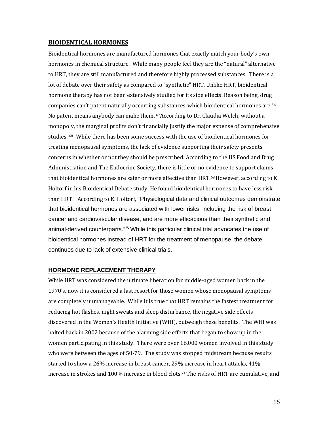# **BIOIDENTICAL HORMONES**

Bioidentical hormones are manufactured hormones that exactly match your body's own hormones in chemical structure. While many people feel they are the "natural" alternative to HRT, they are still manufactured and therefore highly processed substances. There is a lot of debate over their safety as compared to "synthetic" HRT. Unlike HRT, bioidentical hormone therapy has not been extensively studied for its side effects. Reason being, drug companies can't patent naturally occurring substances-which bioidentical hormones are.<sup>66</sup> No patent means anybody can make them. 67According to Dr. Claudia Welch, without a monopoly, the marginal profits don't financially justify the major expense of comprehensive studies. 68 While there has been some success with the use of bioidentical hormones for treating menopausal symptoms, the lack of evidence supporting their safety presents concerns in whether or not they should be prescribed. According to the US Food and Drug Administration and The Endocrine Society, there is little or no evidence to support claims that bioidentical hormones are safer or more effective than HRT. 69 However, according to K. Holtorf in his Bioidentical Debate study, He found bioidentical hormones to have less risk than HRT. According to K. Holtorf, "Physiological data and clinical outcomes demonstrate that bioidentical hormones are associated with lower risks, including the risk of breast cancer and cardiovascular disease, and are more efficacious than their synthetic and animal-derived counterparts."<sup>70</sup> While this particular clinical trial advocates the use of bioidentical hormones instead of HRT for the treatment of menopause, the debate continues due to lack of extensive clinical trials.

# **HORMONE REPLACEMENT THERAPY**

While HRT was considered the ultimate liberation for middle-aged women back in the 1970's, now it is considered a last resort for those women whose menopausal symptoms are completely unmanageable. While it is true that HRT remains the fastest treatment for reducing hot flashes, night sweats and sleep disturbance, the negative side effects discovered in the Women's Health Initiative (WHI), outweigh these benefits. The WHI was halted back in 2002 because of the alarming side effects that began to show up in the women participating in this study. There were over 16,000 women involved in this study who were between the ages of 50-79. The study was stopped midstream because results started to show a 26% increase in breast cancer, 29% increase in heart attacks, 41% increase in strokes and 100% increase in blood clots.71The risks of HRT are cumulative, and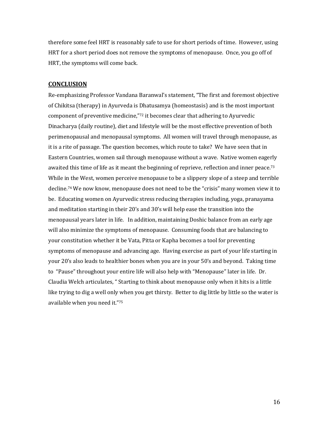therefore some feel HRT is reasonably safe to use for short periods of time. However, using HRT for a short period does not remove the symptoms of menopause. Once, you go off of HRT, the symptoms will come back.

# **CONCLUSION**

Re-emphasizing Professor Vandana Baranwal's statement, "The first and foremost objective of Chikitsa (therapy) in Ayurveda is Dhatusamya (homeostasis) and is the most important component of preventive medicine,"72 it becomes clear that adhering to Ayurvedic Dinacharya (daily routine), diet and lifestyle will be the most effective prevention of both perimenopausal and menopausal symptoms. All women will travel through menopause, as it is a rite of passage. The question becomes, which route to take? We have seen that in Eastern Countries, women sail through menopause without a wave. Native women eagerly awaited this time of life as it meant the beginning of reprieve, reflection and inner peace.<sup>73</sup> While in the West, women perceive menopause to be a slippery slope of a steep and terrible decline.74 We now know, menopause does not need to be the "crisis" many women view it to be. Educating women on Ayurvedic stress reducing therapies including, yoga, pranayama and meditation starting in their 20's and 30's will help ease the transition into the menopausal years later in life. In addition, maintaining Doshic balance from an early age will also minimize the symptoms of menopause. Consuming foods that are balancing to your constitution whether it be Vata, Pitta or Kapha becomes a tool for preventing symptoms of menopause and advancing age. Having exercise as part of your life starting in your 20's also leads to healthier bones when you are in your 50's and beyond. Taking time to "Pause" throughout your entire life will also help with "Menopause" later in life. Dr. Claudia Welch articulates, " Starting to think about menopause only when it hits is a little like trying to dig a well only when you get thirsty. Better to dig little by little so the water is available when you need it."75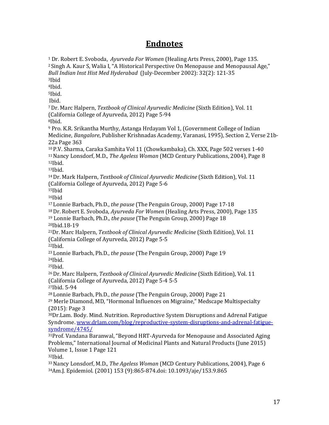# **Endnotes**

<sup>1</sup> Dr. Robert E. Svoboda, *Ayurveda For Women* (Healing Arts Press, 2000), Page 135. 2 Singh A. Kaur S, Walia I, "A Historical Perspective On Menopause and Menopausal Age," *Bull Indian Inst Hist Med Hyderabad* (July-December 2002): 32(2): 121-35 3Ibid 4Ibid. 5Ibid. Ibid. 7 Dr. Marc Halpern, *Textbook of Clinical Ayurvedic Medicine* (Sixth Edition), Vol. 11 (California College of Ayurveda, 2012) Page 5-94 8Ibid. <sup>9</sup> Pro. K.R. Srikantha Murthy, Astanga Hrdayam Vol 1, (Government College of Indian Medicine, *Bangalore*, Publisher Krishnadas Academy, Varanasi, 1995), Section 2, Verse 21b-22a Page 363 10 P.V. Sharma, Caraka Samhita Vol 11 (Chowkambaka), Ch. XXX, Page 502 verses 1-40 11Nancy Lonsdorf, M.D., *The Ageless Woman* (MCD Century Publications, 2004), Page 8  $12$ Ibid.  $13$ Ibid. 14 Dr. Mark Halpern, *Textbook of Clinical Ayurvedic Medicine* (Sixth Edition), Vol. 11 (California College of Ayurveda, 2012) Page 5-6 15Ibid 16Ibid 17 Lonnie Barbach, Ph.D., *the pause* (The Penguin Group, 2000) Page 17-18 18 Dr. Robert E. Svoboda, *Ayurveda For Women* (Healing Arts Press, 2000), Page 135 <sup>19</sup> Lonnie Barbach, Ph.D., *the pause* (The Penguin Group, 2000) Page 18 20Ibid.18-19 21Dr. Marc Halpern, *Textbook of Clinical Ayurvedic Medicine* (Sixth Edition), Vol. 11 (California College of Ayurveda, 2012) Page 5-5 22Ibid. 23 Lonnie Barbach, Ph.D., *the pause* (The Penguin Group, 2000) Page 19 24Ibid.  $25$ Ibid. 26 Dr. Marc Halpern, *Textbook of Clinical Ayurvedic Medicine* (Sixth Edition), Vol. 11 (California College of Ayurveda, 2012) Page 5-4 5-5 27Ibid. 5-94 28 Lonnie Barbach, Ph.D., *the pause* (The Penguin Group, 2000) Page 21 <sup>29</sup> Merle Diamond, MD, "Hormonal Influences on Migraine," Medscape Multispecialty (2015): Page 3 30Dr.Lam. Body. Mind. Nutrition. Reproductive System Disruptions and Adrenal Fatigue Syndrome. [www.drlam.com/blog/reproductive-system-disruptions-and-adrenal-fatigue](http://www.drlam.com/blog/reproductive-system-disruptions-and-adrenal-fatigue-syndrome/4745/)[syndrome/4745/](http://www.drlam.com/blog/reproductive-system-disruptions-and-adrenal-fatigue-syndrome/4745/) 31Prof. Vandana Baranwal, "Beyond HRT-Ayurveda for Menopause and Associated Aging Problems," International Journal of Medicinal Plants and Natural Products (June 2015) Volume 1, Issue 1 Page 121  $32$ Ibid.

33 Nancy Lonsdorf, M.D., *The Ageless Woman* (MCD Century Publications, 2004), Page 6 34Am.J. Epidemiol. (2001) 153 (9):865-874.doi: 10.1093/aje/153.9.865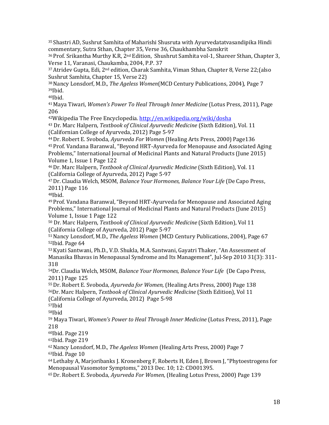35 Shastri AD, Sushrut Samhita of Maharishi Shusruta with Ayurvedatatvasandipika Hindi commentary, Sutra Sthan, Chapter 35, Verse 36, Chaukhambha Sanskrit

36 Prof. Srikantha Murthy K.R, 2<sup>nd</sup> Edition, Shushrut Samhita vol-1, Shareer Sthan, Chapter 3, Verse 11, Varanasi, Chaukamba, 2004, P.P. 37

 $37$  Atridev Gupta, Edi,  $2<sup>nd</sup>$  edition, Charak Samhita, Viman Sthan, Chapter 8, Verse 22; (also Sushrut Samhita, Chapter 15, Verse 22)

38 Nancy Lonsdorf, M.D., *The Ageless Women*(MCD Century Publications, 2004), Page 7 39Ibid.

 $40$ Ibid.

41 Maya Tiwari, *Women's Power To Heal Through Inner Medicine* (Lotus Press, 2011), Page 206

42Wikipedia The Free Encyclopedia[. http://en.wikipedia.org/wiki/dosha](http://en.wikipedia.org/wiki/dosha)

<sup>43</sup> Dr. Marc Halpern, *Textbook of Clinical Ayurvedic Medicine* (Sixth Edition), Vol. 11 (Californian College of Ayurveda, 2012) Page 5-97

44 Dr. Robert E. Svoboda, *Ayurveda For Women* (Healing Arts Press, 2000) Page136 45 Prof. Vandana Baranwal, "Beyond HRT-Ayurveda for Menopause and Associated Aging Problems," International Journal of Medicinal Plants and Natural Products (June 2015) Volume 1, Issue 1 Page 122

46 Dr. Marc Halpern, *Textbook of Clinical Ayurvedic Medicine* (Sixth Edition), Vol. 11 (California College of Ayurveda, 2012) Page 5-97

47 Dr. Claudia Welch, MSOM, *Balance Your Hormones, Balance Your Life* (De Capo Press, 2011) Page 116

48Ibid.

49 Prof. Vandana Baranwal, "Beyond HRT-Ayurveda for Menopause and Associated Aging Problems," International Journal of Medicinal Plants and Natural Products (June 2015) Volume 1, Issue 1 Page 122

<sup>50</sup> Dr. Marc Halpern, *Textbook of Clinical Ayurvedic Medicine* (Sixth Edition), Vol 11 (California College of Ayurveda, 2012) Page 5-97

51 Nancy Lonsdorf, M.D., *The Ageless Women* (MCD Century Publications, 2004), Page 67 52Ibid. Page 64

53 Kyati Santwani, Ph.D., V.D. Shukla, M.A. Santwani, Gayatri Thaker, "An Assessment of Manasika Bhavas in Menopausal Syndrome and Its Management", Jul-Sep 2010 31(3): 311- 318

54Dr. Claudia Welch, MSOM, *Balance Your Hormones, Balance Your Life* (De Capo Press, 2011) Page 125

55 Dr. Robert E. Svoboda, *Ayurveda for Women,* (Healing Arts Press, 2000) Page 138 56Dr. Marc Halpern, *Textbook of Clinical Ayurvedic Medicine* (Sixth Edition), Vol 11 (California College of Ayurveda, 2012) Page 5-98

57Ibid

58Ibid

<sup>59</sup> Maya Tiwari, *Women's Power to Heal Through Inner Medicine* (Lotus Press, 2011), Page 218

60Ibid. Page 219

61Ibid. Page 219

62 Nancy Lonsdorf, M.D., *The Ageless Women* (Healing Arts Press, 2000) Page 7 63Ibid. Page 10

64 Lethaby A, Marjoribanks J. Kronenberg F, Roberts H, Eden J, Brown J, "Phytoestrogens for Menopausal Vasomotor Symptoms," 2013 Dec. 10; 12: CD001395.

65 Dr. Robert E. Svoboda, *Ayurveda For Women,* (Healing Lotus Press, 2000) Page 139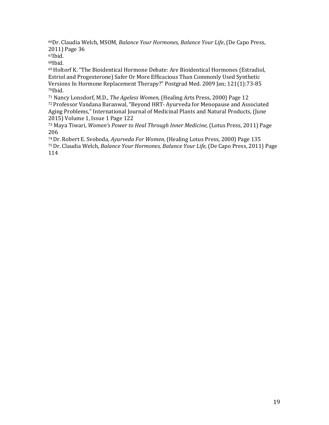66Dr. Claudia Welch, MSOM, *Balance Your Hormones, Balance Your Life*, (De Capo Press, 2011) Page 36

67Ibid.

68Ibid.

69 Holtorf K. "The Bioidentical Hormone Debate: Are Bioidentical Hormones (Estradiol, Estriol and Progesterone) Safer Or More Efficacious Than Commonly Used Synthetic Versions In Hormone Replacement Therapy?" Postgrad Med. 2009 Jan; 121(1):73-85 70Ibid.

<sup>71</sup> Nancy Lonsdorf, M.D., *The Ageless Women,* (Healing Arts Press, 2000) Page 12 72 Professor Vandana Baranwal, "Beyond HRT- Ayurveda for Menopause and Associated Aging Problems," International Journal of Medicinal Plants and Natural Products, (June 2015) Volume 1, Issue 1 Page 122

<sup>73</sup> Maya Tiwari, *Women's Power to Heal Through Inner Medicine,* (Lotus Press, 2011) Page 206

74 Dr. Robert E. Svoboda, *Ayurveda For Women,* (Healing Lotus Press, 2000) Page 135 75 Dr. Claudia Welch, *Balance Your Hormones, Balance Your Life,* (De Capo Press, 2011) Page 114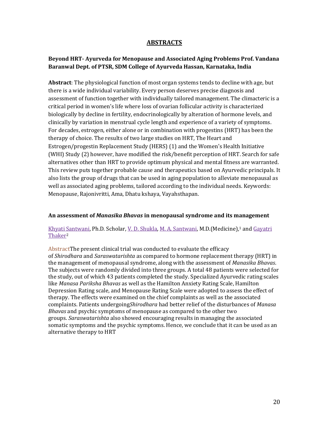# **ABSTRACTS**

# **Beyond HRT- Ayurveda for Menopause and Associated Aging Problems Prof. Vandana Baranwal Dept. of PTSR, SDM College of Ayurveda Hassan, Karnataka, India**

**Abstract**: The physiological function of most organ systems tends to decline with age, but there is a wide individual variability. Every person deserves precise diagnosis and assessment of function together with individually tailored management. The climacteric is a critical period in women's life where loss of ovarian follicular activity is characterized biologically by decline in fertility, endocrinologically by alteration of hormone levels, and clinically by variation in menstrual cycle length and experience of a variety of symptoms. For decades, estrogen, either alone or in combination with progestins (HRT) has been the therapy of choice. The results of two large studies on HRT, The Heart and Estrogen/progestin Replacement Study (HERS) (1) and the Women's Health Initiative (WHI) Study (2) however, have modified the risk/benefit perception of HRT. Search for safe alternatives other than HRT to provide optimum physical and mental fitness are warranted. This review puts together probable cause and therapeutics based on Ayurvedic principals. It also lists the group of drugs that can be used in aging population to alleviate menopausal as well as associated aging problems, tailored according to the individual needs. Keywords: Menopause, Rajonivritti, Ama, Dhatu kshaya, Vayahsthapan.

# **An assessment of** *Manasika Bhavas* **in menopausal syndrome and its management**

# [Khyati Santwani,](http://www.ncbi.nlm.nih.gov/pubmed/?term=Santwani%20K%5Bauth%5D) Ph.D. Scholar, [V. D. Shukla,](http://www.ncbi.nlm.nih.gov/pubmed/?term=Shukla%20VD%5Bauth%5D) [M. A. Santwani,](http://www.ncbi.nlm.nih.gov/pubmed/?term=Santwani%20MA%5Bauth%5D) M.D. (Medicine),<sup>1</sup> and Gayatri [Thaker2](http://www.ncbi.nlm.nih.gov/pubmed/?term=Thaker%20G%5Bauth%5D)

AbstractThe present clinical trial was conducted to evaluate the efficacy of *Shirodhara* and *Saraswatarishta* as compared to hormone replacement therapy (HRT) in the management of menopausal syndrome, along with the assessment of *Manasika Bhavas*. The subjects were randomly divided into three groups. A total 48 patients were selected for the study, out of which 43 patients completed the study. Specialized Ayurvedic rating scales like *Manasa Pariksha Bhavas* as well as the Hamilton Anxiety Rating Scale, Hamilton Depression Rating scale, and Menopause Rating Scale were adopted to assess the effect of therapy. The effects were examined on the chief complaints as well as the associated complaints. Patients undergoing*Shirodhara* had better relief of the disturbances of *Manasa Bhavas* and psychic symptoms of menopause as compared to the other two groups. *Saraswatarishta* also showed encouraging results in managing the associated somatic symptoms and the psychic symptoms. Hence, we conclude that it can be used as an alternative therapy to HRT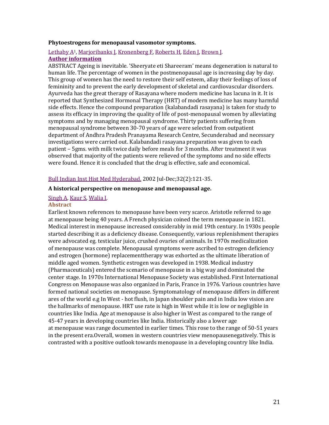### **Phytoestrogens for menopausal vasomotor symptoms.**

# Lethaby A<sup>1</sup>, [Marjoribanks J,](http://www.ncbi.nlm.nih.gov/pubmed/?term=Marjoribanks%20J%5BAuthor%5D&cauthor=true&cauthor_uid=24323914) [Kronenberg F,](http://www.ncbi.nlm.nih.gov/pubmed/?term=Kronenberg%20F%5BAuthor%5D&cauthor=true&cauthor_uid=24323914) [Roberts H,](http://www.ncbi.nlm.nih.gov/pubmed/?term=Roberts%20H%5BAuthor%5D&cauthor=true&cauthor_uid=24323914) [Eden J,](http://www.ncbi.nlm.nih.gov/pubmed/?term=Eden%20J%5BAuthor%5D&cauthor=true&cauthor_uid=24323914) [Brown J.](http://www.ncbi.nlm.nih.gov/pubmed/?term=Brown%20J%5BAuthor%5D&cauthor=true&cauthor_uid=24323914) **[Author information](http://www.ncbi.nlm.nih.gov/pubmed/24323914)**

ABSTRACT Ageing is inevitable. 'Sheeryate eti Shareeram' means degeneration is natural to human life. The percentage of women in the postmenopausal age is increasing day by day. This group of women has the need to restore their self esteem, allay their feelings of loss of femininity and to prevent the early development of skeletal and cardiovascular disorders. Ayurveda has the great therapy of Rasayana where modern medicine has lacuna in it. It is reported that Synthesized Hormonal Therapy (HRT) of modern medicine has many harmful side effects. Hence the compound preparation (kalabandadi rasayana) is taken for study to assess its efficacy in improving the quality of life of post-menopausal women by alleviating symptoms and by managing menopausal syndrome. Thirty patients suffering from menopausal syndrome between 30-70 years of age were selected from outpatient department of Andhra Pradesh Pranayama Research Centre, Secunderabad and necessary investigations were carried out. Kalabandadi rasayana preparation was given to each patient – 5gms. with milk twice daily before meals for 3 months. After treatment it was observed that majority of the patients were relieved of the symptoms and no side effects were found. Hence it is concluded that the drug is effective, safe and economical.

# [Bull Indian Inst Hist Med Hyderabad.](http://www.ncbi.nlm.nih.gov/pubmed/15981376) 2002 Jul-Dec;32(2):121-35.

### **A historical perspective on menopause and menopausal age.**

# [Singh A,](http://www.ncbi.nlm.nih.gov/pubmed/?term=Singh%20A%5BAuthor%5D&cauthor=true&cauthor_uid=15981376) [Kaur S,](http://www.ncbi.nlm.nih.gov/pubmed/?term=Kaur%20S%5BAuthor%5D&cauthor=true&cauthor_uid=15981376) [Walia I.](http://www.ncbi.nlm.nih.gov/pubmed/?term=Walia%20I%5BAuthor%5D&cauthor=true&cauthor_uid=15981376)

### **Abstract**

Earliest known references to menopause have been very scarce. Aristotle referred to age at menopause being 40 years. A French physician coined the term menopause in 1821. Medical interest in menopause increased considerably in mid 19th century. In 1930s people started describing it as a deficiency disease. Consequently, various replenishment therapies were advocated eg. testicular juice, crushed ovaries of animals. In 1970s medicalization of menopause was complete. Menopausal symptoms were ascribed to estrogen deficiency and estrogen (hormone) replacementtherapy was exhorted as the ultimate liberation of middle aged women. Synthetic estrogen was developed in 1938. Medical industry (Pharmaceuticals) entered the scenario of menopause in a big way and dominated the center stage. In 1970s International Menopause Society was established. First International Congress on Menopause was also organized in Paris, France in 1976. Various countries have formed national societies on menopause. Symptomatology of menopause differs in different ares of the world e.g In West - hot flush, in Japan shoulder pain and in India low vision are the hallmarks of menopause. HRT use rate is high in West while it is low or negligible in countries like India. Age at menopause is also higher in West as compared to the range of 45-47 years in developing countries like India. Historically also a lower age at menopause was range documented in earlier times. This rose to the range of 50-51 years in the present era.Overall, women in western countries view menopausenegatively. This is contrasted with a positive outlook towards menopause in a developing country like India.